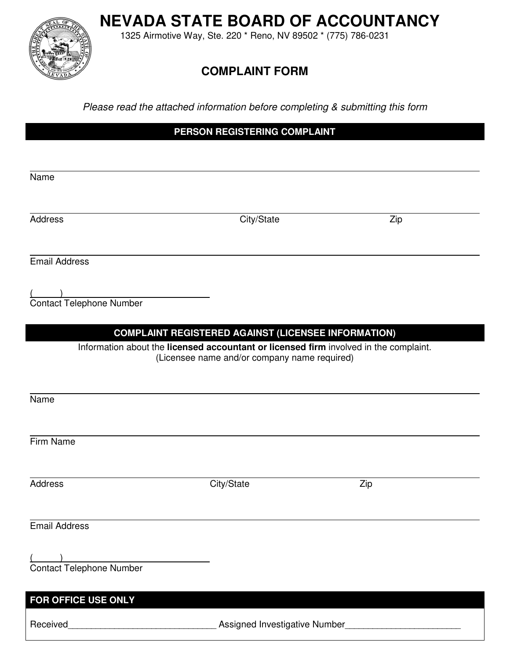**NEVADA STATE BOARD OF ACCOUNTANCY**

1325 Airmotive Way, Ste. 220 \* Reno, NV 89502 \* (775) 786-0231

# **COMPLAINT FORM**

*Please read the attached information before completing & submitting this form* 

**PERSON REGISTERING COMPLAINT** 

 $\overline{a}$ Name Address Zip Email Address  $($ Contact Telephone Number **COMPLAINT REGISTERED AGAINST (LICENSEE INFORMATION)** Information about the **licensed accountant or licensed firm** involved in the complaint. (Licensee name and/or company name required)  $\overline{a}$ Name  $\overline{a}$ Firm Name Address Zip Email Address  $($ Contact Telephone Number **FOR OFFICE USE ONLY** 

Received\_\_\_\_\_\_\_\_\_\_\_\_\_\_\_\_\_\_\_\_\_\_\_\_\_\_\_\_\_\_\_\_ Assigned Investigative Number\_\_\_\_\_\_\_\_\_\_\_\_\_\_\_\_\_\_\_\_\_\_\_\_\_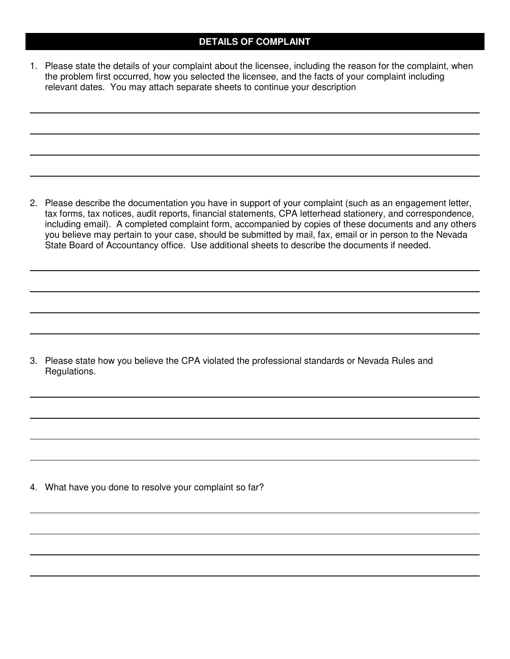### **DETAILS OF COMPLAINT**

1. Please state the details of your complaint about the licensee, including the reason for the complaint, when the problem first occurred, how you selected the licensee, and the facts of your complaint including relevant dates. You may attach separate sheets to continue your description

2. Please describe the documentation you have in support of your complaint (such as an engagement letter, tax forms, tax notices, audit reports, financial statements, CPA letterhead stationery, and correspondence, including email). A completed complaint form, accompanied by copies of these documents and any others you believe may pertain to your case, should be submitted by mail, fax, email or in person to the Nevada State Board of Accountancy office. Use additional sheets to describe the documents if needed.

3. Please state how you believe the CPA violated the professional standards or Nevada Rules and Regulations.

4. What have you done to resolve your complaint so far?

 $\overline{a}$ 

 $\overline{a}$ 

 $\overline{\phantom{a}}$ 

 $\overline{a}$ 

 $\overline{a}$ 

 $\overline{a}$ 

 $\overline{a}$ 

 $\overline{a}$ 

 $\overline{a}$ 

 $\overline{a}$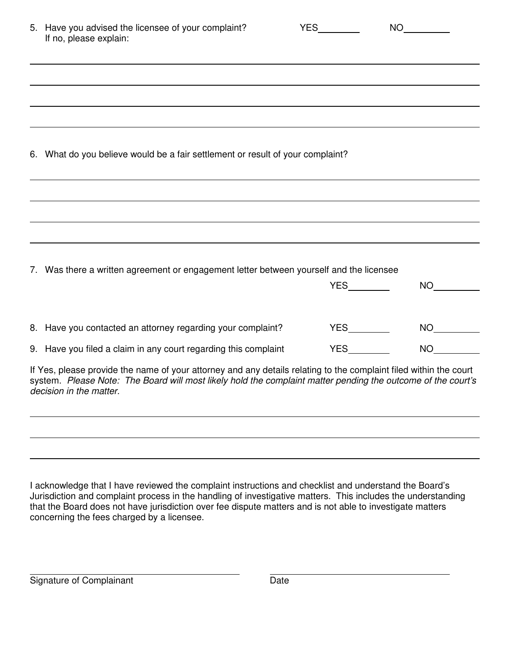|                                                                                | 5. Have you advised the licensee of your complaint?<br>If no, please explain:                                                                                                                                                                                | <b>YES</b> | NO <sub>2</sub>   |
|--------------------------------------------------------------------------------|--------------------------------------------------------------------------------------------------------------------------------------------------------------------------------------------------------------------------------------------------------------|------------|-------------------|
|                                                                                |                                                                                                                                                                                                                                                              |            |                   |
|                                                                                |                                                                                                                                                                                                                                                              |            |                   |
| 6. What do you believe would be a fair settlement or result of your complaint? |                                                                                                                                                                                                                                                              |            |                   |
|                                                                                |                                                                                                                                                                                                                                                              |            |                   |
|                                                                                |                                                                                                                                                                                                                                                              |            |                   |
|                                                                                | 7. Was there a written agreement or engagement letter between yourself and the licensee                                                                                                                                                                      |            |                   |
|                                                                                |                                                                                                                                                                                                                                                              | <b>YES</b> | NO <sub>cco</sub> |
|                                                                                | 8. Have you contacted an attorney regarding your complaint?                                                                                                                                                                                                  |            | NO                |
|                                                                                | 9. Have you filed a claim in any court regarding this complaint                                                                                                                                                                                              | <b>YES</b> | NO <sub>cco</sub> |
|                                                                                | If Yes, please provide the name of your attorney and any details relating to the complaint filed within the court<br>system. Please Note: The Board will most likely hold the complaint matter pending the outcome of the court's<br>decision in the matter. |            |                   |

I acknowledge that I have reviewed the complaint instructions and checklist and understand the Board's Jurisdiction and complaint process in the handling of investigative matters. This includes the understanding that the Board does not have jurisdiction over fee dispute matters and is not able to investigate matters concerning the fees charged by a licensee.

 $\overline{a}$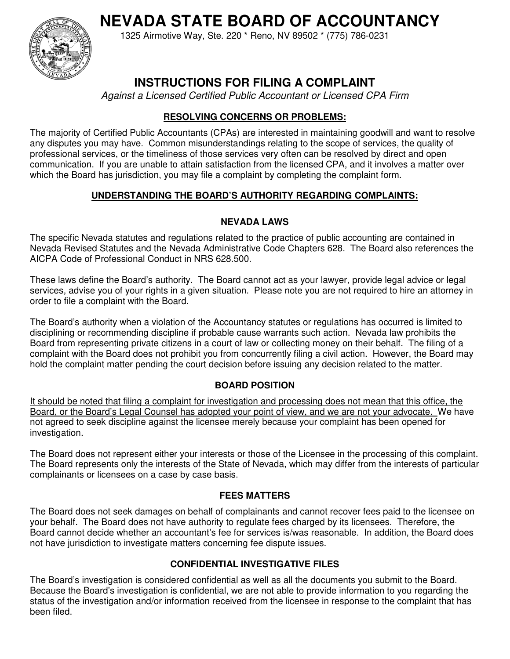**NEVADA STATE BOARD OF ACCOUNTANCY**



1325 Airmotive Way, Ste. 220 \* Reno, NV 89502 \* (775) 786-0231

# **INSTRUCTIONS FOR FILING A COMPLAINT**

*Against a Licensed Certified Public Accountant or Licensed CPA Firm* 

# **RESOLVING CONCERNS OR PROBLEMS:**

The majority of Certified Public Accountants (CPAs) are interested in maintaining goodwill and want to resolve any disputes you may have. Common misunderstandings relating to the scope of services, the quality of professional services, or the timeliness of those services very often can be resolved by direct and open communication. If you are unable to attain satisfaction from the licensed CPA, and it involves a matter over which the Board has jurisdiction, you may file a complaint by completing the complaint form.

# **UNDERSTANDING THE BOARD'S AUTHORITY REGARDING COMPLAINTS:**

## **NEVADA LAWS**

The specific Nevada statutes and regulations related to the practice of public accounting are contained in Nevada Revised Statutes and the Nevada Administrative Code Chapters 628. The Board also references the AICPA Code of Professional Conduct in NRS 628.500.

These laws define the Board's authority. The Board cannot act as your lawyer, provide legal advice or legal services, advise you of your rights in a given situation. Please note you are not required to hire an attorney in order to file a complaint with the Board.

The Board's authority when a violation of the Accountancy statutes or regulations has occurred is limited to disciplining or recommending discipline if probable cause warrants such action. Nevada law prohibits the Board from representing private citizens in a court of law or collecting money on their behalf. The filing of a complaint with the Board does not prohibit you from concurrently filing a civil action. However, the Board may hold the complaint matter pending the court decision before issuing any decision related to the matter.

# **BOARD POSITION**

It should be noted that filing a complaint for investigation and processing does not mean that this office, the Board, or the Board's Legal Counsel has adopted your point of view, and we are not your advocate. We have not agreed to seek discipline against the licensee merely because your complaint has been opened for investigation.

The Board does not represent either your interests or those of the Licensee in the processing of this complaint. The Board represents only the interests of the State of Nevada, which may differ from the interests of particular complainants or licensees on a case by case basis.

### **FEES MATTERS**

The Board does not seek damages on behalf of complainants and cannot recover fees paid to the licensee on your behalf. The Board does not have authority to regulate fees charged by its licensees. Therefore, the Board cannot decide whether an accountant's fee for services is/was reasonable. In addition, the Board does not have jurisdiction to investigate matters concerning fee dispute issues.

# **CONFIDENTIAL INVESTIGATIVE FILES**

The Board's investigation is considered confidential as well as all the documents you submit to the Board. Because the Board's investigation is confidential, we are not able to provide information to you regarding the status of the investigation and/or information received from the licensee in response to the complaint that has been filed.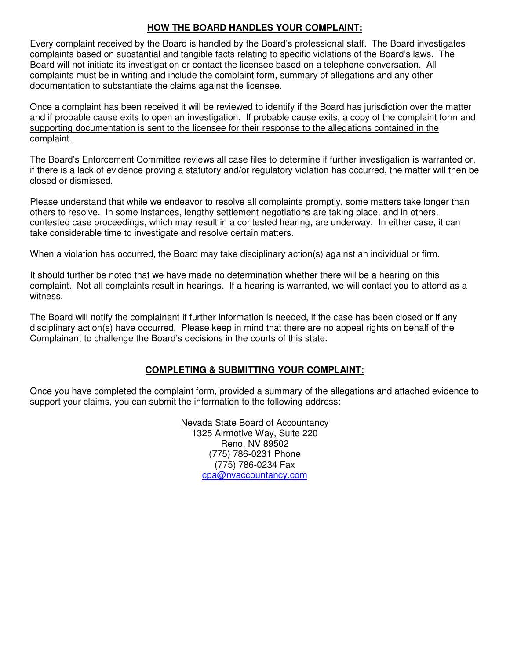#### **HOW THE BOARD HANDLES YOUR COMPLAINT:**

Every complaint received by the Board is handled by the Board's professional staff. The Board investigates complaints based on substantial and tangible facts relating to specific violations of the Board's laws. The Board will not initiate its investigation or contact the licensee based on a telephone conversation. All complaints must be in writing and include the complaint form, summary of allegations and any other documentation to substantiate the claims against the licensee.

Once a complaint has been received it will be reviewed to identify if the Board has jurisdiction over the matter and if probable cause exits to open an investigation. If probable cause exits, a copy of the complaint form and supporting documentation is sent to the licensee for their response to the allegations contained in the complaint.

The Board's Enforcement Committee reviews all case files to determine if further investigation is warranted or, if there is a lack of evidence proving a statutory and/or regulatory violation has occurred, the matter will then be closed or dismissed.

Please understand that while we endeavor to resolve all complaints promptly, some matters take longer than others to resolve. In some instances, lengthy settlement negotiations are taking place, and in others, contested case proceedings, which may result in a contested hearing, are underway. In either case, it can take considerable time to investigate and resolve certain matters.

When a violation has occurred, the Board may take disciplinary action(s) against an individual or firm.

It should further be noted that we have made no determination whether there will be a hearing on this complaint. Not all complaints result in hearings. If a hearing is warranted, we will contact you to attend as a witness.

The Board will notify the complainant if further information is needed, if the case has been closed or if any disciplinary action(s) have occurred. Please keep in mind that there are no appeal rights on behalf of the Complainant to challenge the Board's decisions in the courts of this state.

### **COMPLETING & SUBMITTING YOUR COMPLAINT:**

Once you have completed the complaint form, provided a summary of the allegations and attached evidence to support your claims, you can submit the information to the following address:

> Nevada State Board of Accountancy 1325 Airmotive Way, Suite 220 Reno, NV 89502 (775) 786-0231 Phone (775) 786-0234 Fax cpa@nvaccountancy.com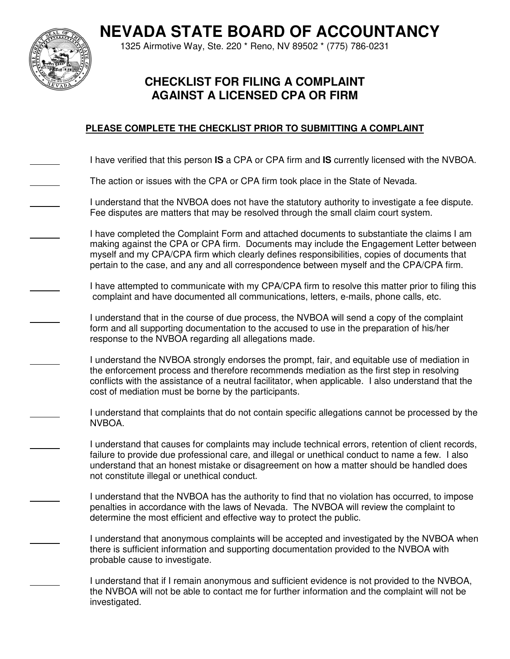**NEVADA STATE BOARD OF ACCOUNTANCY**



1325 Airmotive Way, Ste. 220 \* Reno, NV 89502 \* (775) 786-0231

# **CHECKLIST FOR FILING A COMPLAINT AGAINST A LICENSED CPA OR FIRM**

## **PLEASE COMPLETE THE CHECKLIST PRIOR TO SUBMITTING A COMPLAINT**

I have verified that this person **IS** a CPA or CPA firm and **IS** currently licensed with the NVBOA.

The action or issues with the CPA or CPA firm took place in the State of Nevada.

 I understand that the NVBOA does not have the statutory authority to investigate a fee dispute. Fee disputes are matters that may be resolved through the small claim court system.

 I have completed the Complaint Form and attached documents to substantiate the claims I am making against the CPA or CPA firm. Documents may include the Engagement Letter between myself and my CPA/CPA firm which clearly defines responsibilities, copies of documents that pertain to the case, and any and all correspondence between myself and the CPA/CPA firm.

 I have attempted to communicate with my CPA/CPA firm to resolve this matter prior to filing this complaint and have documented all communications, letters, e-mails, phone calls, etc.

 I understand that in the course of due process, the NVBOA will send a copy of the complaint form and all supporting documentation to the accused to use in the preparation of his/her response to the NVBOA regarding all allegations made.

 I understand the NVBOA strongly endorses the prompt, fair, and equitable use of mediation in the enforcement process and therefore recommends mediation as the first step in resolving conflicts with the assistance of a neutral facilitator, when applicable. I also understand that the cost of mediation must be borne by the participants.

 I understand that complaints that do not contain specific allegations cannot be processed by the NVBOA.

 I understand that causes for complaints may include technical errors, retention of client records, failure to provide due professional care, and illegal or unethical conduct to name a few. I also understand that an honest mistake or disagreement on how a matter should be handled does not constitute illegal or unethical conduct.

 I understand that the NVBOA has the authority to find that no violation has occurred, to impose penalties in accordance with the laws of Nevada. The NVBOA will review the complaint to determine the most efficient and effective way to protect the public.

 I understand that anonymous complaints will be accepted and investigated by the NVBOA when there is sufficient information and supporting documentation provided to the NVBOA with probable cause to investigate.

 I understand that if I remain anonymous and sufficient evidence is not provided to the NVBOA, the NVBOA will not be able to contact me for further information and the complaint will not be investigated.